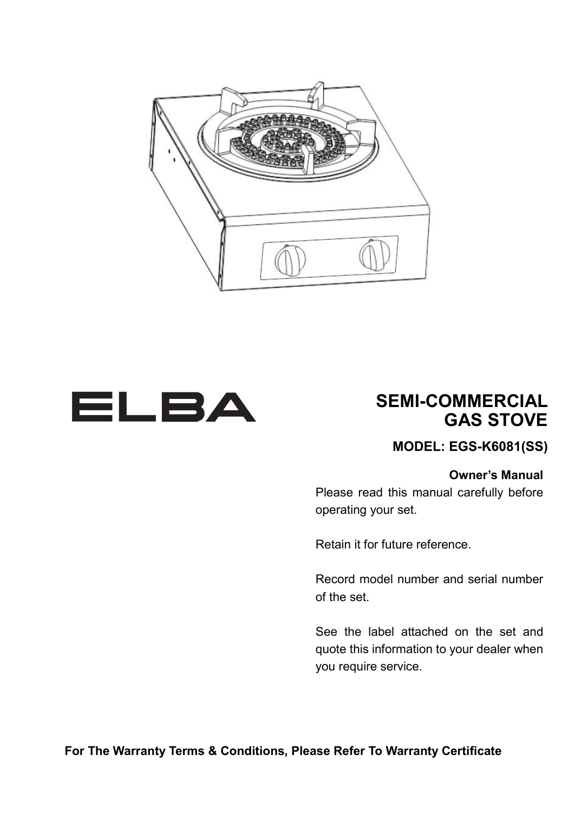



## **SEMI-COMMERCIAL GAS STOVE**

**MODEL: EGS-K6081(SS)**

#### **Owner's Manual**

Please read this manual carefully before operating your set.

Retain it for future reference.

Record model number and serial number of the set.

See the label attached on the set and quote this information to your dealer when you require service.

**For The Warranty Terms & Conditions, Please Refer To Warranty Certificate**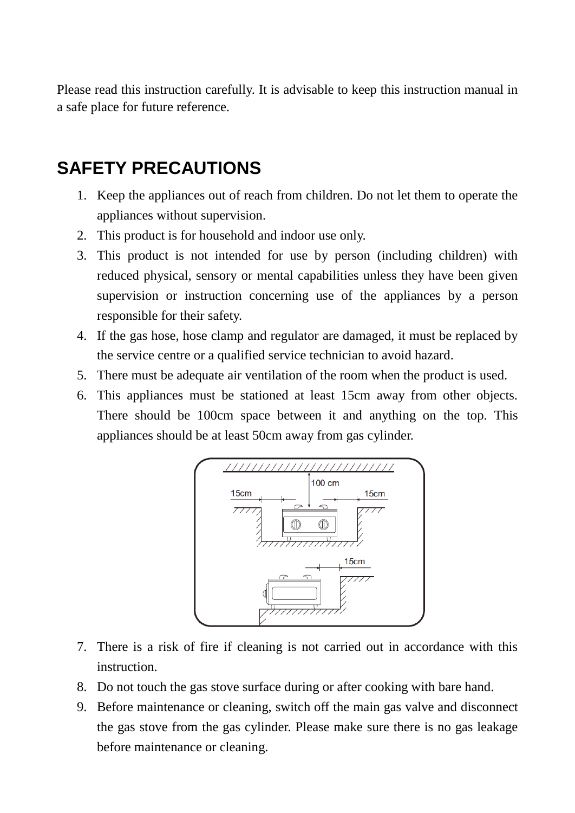Please read this instruction carefully. It is advisable to keep this instruction manual in a safe place for future reference.

# **SAFETY PRECAUTIONS**

- 1. Keep the appliances out of reach from children. Do not let them to operate the appliances without supervision.
- 2. This product is for household and indoor use only.
- 3. This product is not intended for use by person (including children) with reduced physical, sensory or mental capabilities unless they have been given supervision or instruction concerning use of the appliances by a person responsible for their safety.
- 4. If the gas hose, hose clamp and regulator are damaged, it must be replaced by the service centre or a qualified service technician to avoid hazard.
- 5. There must be adequate air ventilation of the room when the product is used.
- 6. This appliances must be stationed at least 15cm away from other objects. There should be 100cm space between it and anything on the top. This appliances should be at least 50cm away from gas cylinder.



- 7. There is a risk of fire if cleaning is not carried out in accordance with this instruction.
- 8. Do not touch the gas stove surface during or after cooking with bare hand.
- 9. Before maintenance or cleaning, switch off the main gas valve and disconnect the gas stove from the gas cylinder. Please make sure there is no gas leakage before maintenance or cleaning.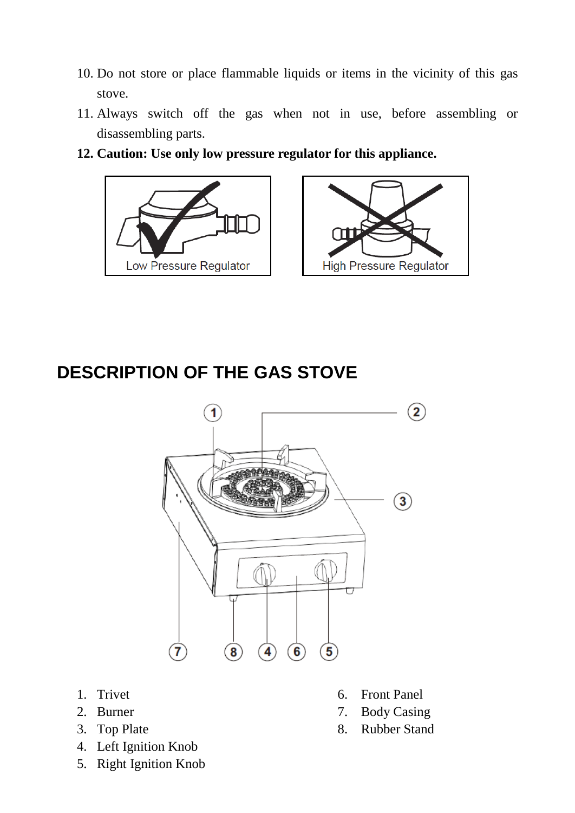- 10. Do not store or place flammable liquids or items in the vicinity of this gas stove.
- 11. Always switch off the gas when not in use, before assembling or disassembling parts.
- **12. Caution: Use only low pressure regulator for this appliance.**





# **DESCRIPTION OF THE GAS STOVE**



- 
- 
- 
- 4. Left Ignition Knob
- 5. Right Ignition Knob
- 1. Trivet 6. Front Panel
- 2. Burner 7. Body Casing
- 3. Top Plate 8. Rubber Stand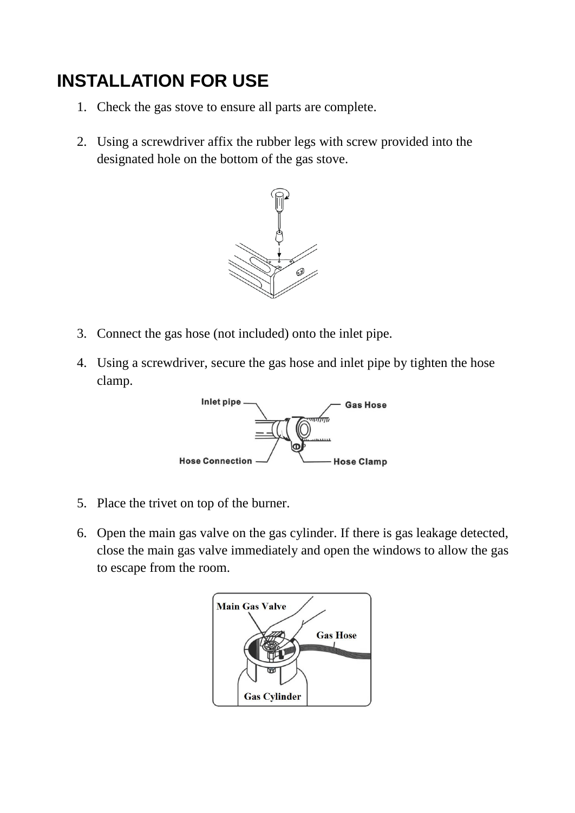# **INSTALLATION FOR USE**

- 1. Check the gas stove to ensure all parts are complete.
- 2. Using a screwdriver affix the rubber legs with screw provided into the designated hole on the bottom of the gas stove.



- 3. Connect the gas hose (not included) onto the inlet pipe.
- 4. Using a screwdriver, secure the gas hose and inlet pipe by tighten the hose clamp.



- 5. Place the trivet on top of the burner.
- 6. Open the main gas valve on the gas cylinder. If there is gas leakage detected, close the main gas valve immediately and open the windows to allow the gas to escape from the room.

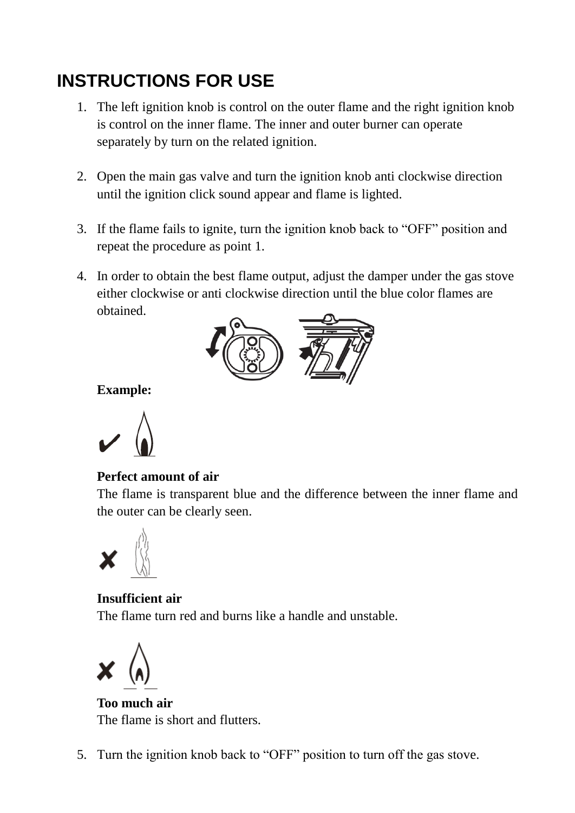# **INSTRUCTIONS FOR USE**

- 1. The left ignition knob is control on the outer flame and the right ignition knob is control on the inner flame. The inner and outer burner can operate separately by turn on the related ignition.
- 2. Open the main gas valve and turn the ignition knob anti clockwise direction until the ignition click sound appear and flame is lighted.
- 3. If the flame fails to ignite, turn the ignition knob back to "OFF" position and repeat the procedure as point 1.
- 4. In order to obtain the best flame output, adjust the damper under the gas stove either clockwise or anti clockwise direction until the blue color flames are obtained.



**Example:** 

### **Perfect amount of air**

The flame is transparent blue and the difference between the inner flame and the outer can be clearly seen.



### **Insufficient air** The flame turn red and burns like a handle and unstable.

**Too much air** The flame is short and flutters.

5. Turn the ignition knob back to "OFF" position to turn off the gas stove.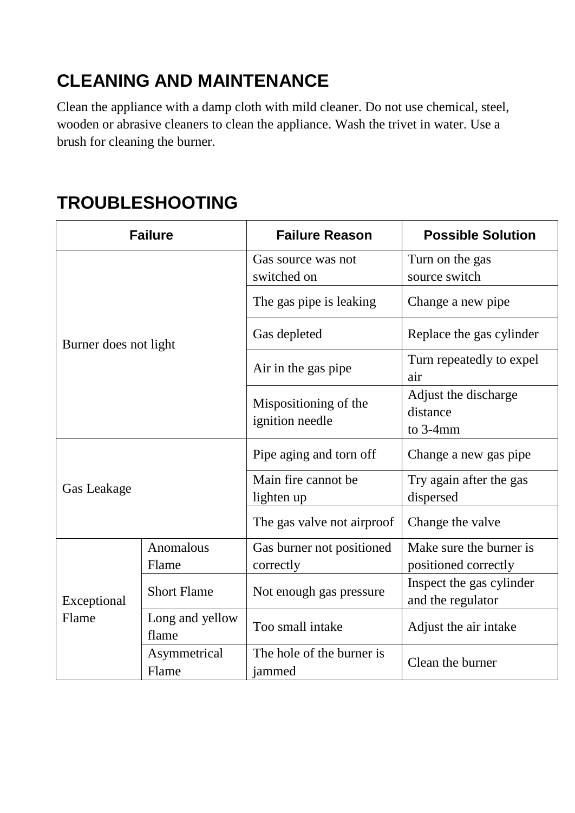# **CLEANING AND MAINTENANCE**

Clean the appliance with a damp cloth with mild cleaner. Do not use chemical, steel, wooden or abrasive cleaners to clean the appliance. Wash the trivet in water. Use a brush for cleaning the burner.

# **TROUBLESHOOTING**

| <b>Failure</b>        |                          | <b>Failure Reason</b>                    | <b>Possible Solution</b>                        |
|-----------------------|--------------------------|------------------------------------------|-------------------------------------------------|
| Burner does not light |                          | Gas source was not<br>switched on        | Turn on the gas<br>source switch                |
|                       |                          | The gas pipe is leaking.                 | Change a new pipe                               |
|                       |                          | Gas depleted                             | Replace the gas cylinder                        |
|                       |                          | Air in the gas pipe                      | Turn repeatedly to expel<br>air                 |
|                       |                          | Mispositioning of the<br>ignition needle | Adjust the discharge<br>distance<br>to $3-4$ mm |
| Gas Leakage           |                          | Pipe aging and torn off                  | Change a new gas pipe                           |
|                       |                          | Main fire cannot be<br>lighten up        | Try again after the gas<br>dispersed            |
|                       |                          | The gas valve not airproof               | Change the valve                                |
| Exceptional<br>Flame  | Anomalous<br>Flame       | Gas burner not positioned<br>correctly   | Make sure the burner is<br>positioned correctly |
|                       | <b>Short Flame</b>       | Not enough gas pressure                  | Inspect the gas cylinder<br>and the regulator   |
|                       | Long and yellow<br>flame | Too small intake                         | Adjust the air intake                           |
|                       | Asymmetrical<br>Flame    | The hole of the burner is<br>jammed      | Clean the burner                                |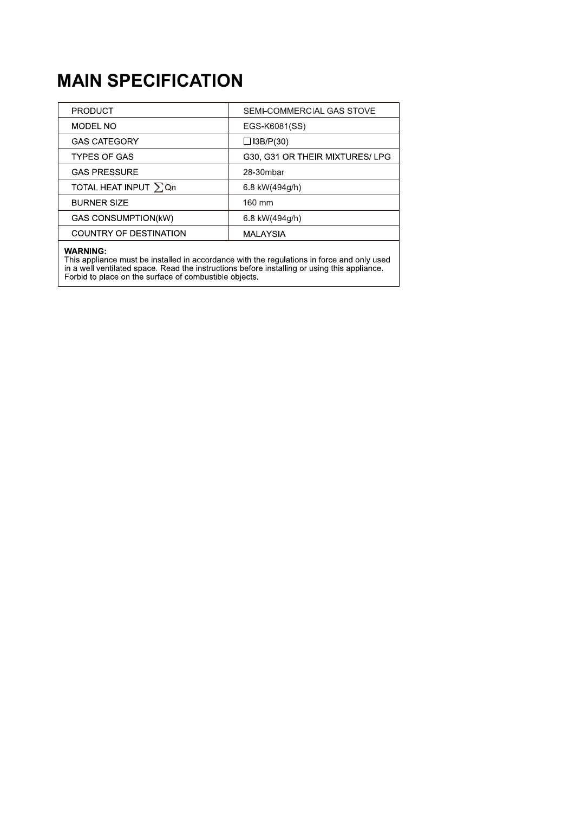# **MAIN SPECIFICATION**

| <b>PRODUCT</b>             | SEMI-COMMERCIAL GAS STOVE      |  |
|----------------------------|--------------------------------|--|
| MODEL NO                   | EGS-K6081(SS)                  |  |
| <b>GAS CATEGORY</b>        | $\Box$ 13B/P(30)               |  |
| <b>TYPES OF GAS</b>        | G30, G31 OR THEIR MIXTURES/LPG |  |
| <b>GAS PRESSURE</b>        | 28-30mbar                      |  |
| TOTAL HEAT INPUT $\sum Qn$ | 6.8 kW(494g/h)                 |  |
| <b>BURNER SIZE</b>         | 160 mm                         |  |
| <b>GAS CONSUMPTION(kW)</b> | 6.8 kW(494g/h)                 |  |
| COUNTRY OF DESTINATION     | MALAYSIA                       |  |

WARNING:<br>This appliance must be installed in accordance with the regulations in force and only used<br>in a well ventilated space. Read the instructions before installing or using this appliance.<br>Forbid to place on the surfac